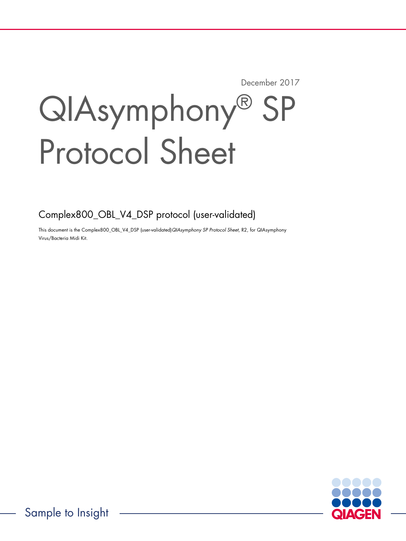December 2017

# QIAsymphony® SP Protocol Sheet

Complex800\_OBL\_V4\_DSP protocol (user-validated)

This document is the Complex800\_OBL\_V4\_DSP (user-validated)QIAsymphony SP Protocol Sheet, R2, for QIAsymphony Virus/Bacteria Midi Kit.



Sample to Insight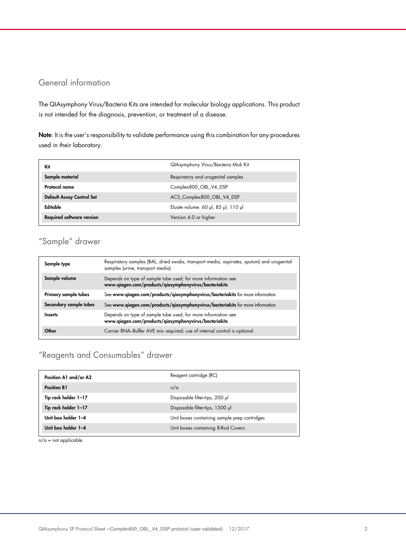# General information

The QIAsymphony Virus/Bacteria Kits are intended for molecular biology applications. This product is not intended for the diagnosis, prevention, or treatment of a disease.

Note: It is the user's responsibility to validate performance using this combination for any procedures used in their laboratory.

| Kit                              | QIAsymphony Virus/Bacteria Midi Kit |
|----------------------------------|-------------------------------------|
| Sample material                  | Respiratory and urogenital samples  |
| Protocol name                    | Complex800 OBL V4 DSP               |
| Default Assay Control Set        | ACS_Complex800_OBL_V4_DSP           |
| Editable                         | Eluate volume: 60 µl, 85 µl, 110 µl |
| <b>Required software version</b> | Version 4.0 or higher               |

# "Sample" drawer

| Sample type            | Respiratory samples (BAL, dried swabs, transport media, aspirates, sputum) and urogenital<br>samples (urine, transport media) |
|------------------------|-------------------------------------------------------------------------------------------------------------------------------|
| Sample volume          | Depends on type of sample tube used; for more information see<br>www.qiagen.com/products/qiasymphonyvirus/bacteriakits        |
| Primary sample tubes   | See www.qiagen.com/products/qiasymphonyvirus/bacteriakits for more information                                                |
| Secondary sample tubes | See www.qiagen.com/products/qiasymphonyvirus/bacteriakits for more information                                                |
| Inserts                | Depends on type of sample tube used; for more information see<br>www.qiagen.com/products/qiasymphonyvirus/bacteriakits        |
| Other                  | Carrier RNA-Buffer AVE mix required; use of internal control is optional                                                      |

# "Reagents and Consumables" drawer

| Position A1 and/or A2 | Reagent cartridge (RC)                       |
|-----------------------|----------------------------------------------|
| <b>Position B1</b>    | n/a                                          |
| Tip rack holder 1-17  | Disposable filter-tips, 200 µl               |
| Tip rack holder 1-17  | Disposable filter-tips, 1500 µl              |
| Unit box holder 1-4   | Unit boxes containing sample prep cartridges |
| Unit box holder 1-4   | Unit boxes containing 8-Rod Covers           |

 $n/a$  = not applicable.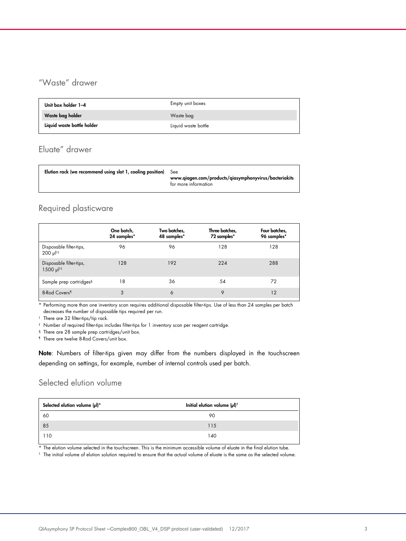# "Waste" drawer

| Unit box holder 1-4        | Empty unit boxes    |
|----------------------------|---------------------|
| Waste bag holder           | Waste bag           |
| Liquid waste bottle holder | Liquid waste bottle |

## Eluate" drawer

| <b>Elution rack (we recommend using slot 1, cooling position)</b> See | www.qiagen.com/products/qiasymphonyvirus/bacteriakits<br>for more information |
|-----------------------------------------------------------------------|-------------------------------------------------------------------------------|
|                                                                       |                                                                               |

# Required plasticware

|                                                    | One batch,<br>24 samples* | Two batches,<br>48 samples* | Three batches,<br>72 samples* | Four batches,<br>96 samples* |
|----------------------------------------------------|---------------------------|-----------------------------|-------------------------------|------------------------------|
| Disposable filter-tips,<br>$200 \mu$ <sup>††</sup> | 96                        | 96                          | 128                           | 128                          |
| Disposable filter-tips,<br>1500 µl <sup>†‡</sup>   | 128                       | 192                         | 224                           | 288                          |
| Sample prep cartridges <sup>§</sup>                | 18                        | 36                          | 54                            | 72                           |
| 8-Rod Covers <sup>1</sup>                          | 3                         | 6                           | 9                             | 12                           |

\* Performing more than one inventory scan requires additional disposable filter-tips. Use of less than 24 samples per batch decreases the number of disposable tips required per run.

† There are 32 filter-tips/tip rack.

‡ Number of required filter-tips includes filter-tips for 1 inventory scan per reagent cartridge.

§ There are 28 sample prep cartridges/unit box.

¶ There are twelve 8-Rod Covers/unit box.

Note: Numbers of filter-tips given may differ from the numbers displayed in the touchscreen depending on settings, for example, number of internal controls used per batch.

## Selected elution volume

| Selected elution volume (µl)* | Initial elution volume (µl) <sup>+</sup> |  |
|-------------------------------|------------------------------------------|--|
| 60                            | 90                                       |  |
| 85                            | 115                                      |  |
| 110                           | 140                                      |  |

\* The elution volume selected in the touchscreen. This is the minimum accessible volume of eluate in the final elution tube.

† The initial volume of elution solution required to ensure that the actual volume of eluate is the same as the selected volume.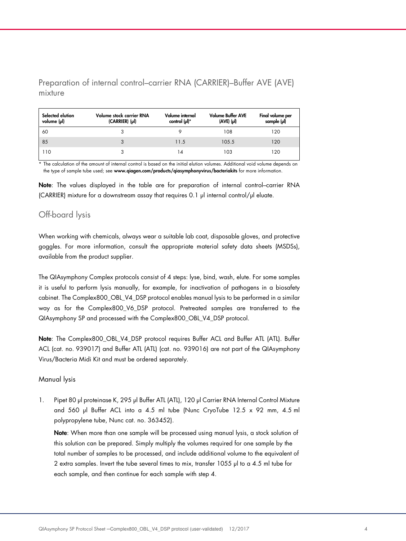Preparation of internal control–carrier RNA (CARRIER)–Buffer AVE (AVE) mixture

| Selected elution<br>volume (µl) | Volume stock carrier RNA<br>(CARRIER) (µl) | Volume internal<br>control (µl)* | <b>Volume Buffer AVE</b><br>$(AVE)$ $(\mu)$ | Final volume per<br>sample (µl) |
|---------------------------------|--------------------------------------------|----------------------------------|---------------------------------------------|---------------------------------|
| 60                              |                                            |                                  | 108                                         | 120                             |
| 85                              | 3                                          | 11.5                             | 105.5                                       | 120                             |
| 110                             |                                            |                                  | 103                                         | 120                             |

\* The calculation of the amount of internal control is based on the initial elution volumes. Additional void volume depends on the type of sample tube used; see www.qiagen.com/products/qiasymphonyvirus/bacteriakits for more information.

Note: The values displayed in the table are for preparation of internal control–carrier RNA (CARRIER) mixture for a downstream assay that requires 0.1 µl internal control/µl eluate.

## Off-board lysis

When working with chemicals, always wear a suitable lab coat, disposable gloves, and protective goggles. For more information, consult the appropriate material safety data sheets (MSDSs), available from the product supplier.

The QIAsymphony Complex protocols consist of 4 steps: lyse, bind, wash, elute. For some samples it is useful to perform lysis manually, for example, for inactivation of pathogens in a biosafety cabinet. The Complex800\_OBL\_V4\_DSP protocol enables manual lysis to be performed in a similar way as for the Complex800\_V6\_DSP protocol. Pretreated samples are transferred to the QIAsymphony SP and processed with the Complex800\_OBL\_V4\_DSP protocol.

Note: The Complex800\_OBL\_V4\_DSP protocol requires Buffer ACL and Buffer ATL (ATL). Buffer ACL (cat. no. 939017) and Buffer ATL (ATL) (cat. no. 939016) are not part of the QIAsymphony Virus/Bacteria Midi Kit and must be ordered separately.

## Manual lysis

1. Pipet 80 µl proteinase K, 295 µl Buffer ATL (ATL), 120 µl Carrier RNA Internal Control Mixture and 560 µl Buffer ACL into a 4.5 ml tube (Nunc CryoTube 12.5  $\times$  92 mm, 4.5 ml polypropylene tube, Nunc cat. no. 363452).

Note: When more than one sample will be processed using manual lysis, a stock solution of this solution can be prepared. Simply multiply the volumes required for one sample by the total number of samples to be processed, and include additional volume to the equivalent of 2 extra samples. Invert the tube several times to mix, transfer 1055 µl to a 4.5 ml tube for each sample, and then continue for each sample with step 4.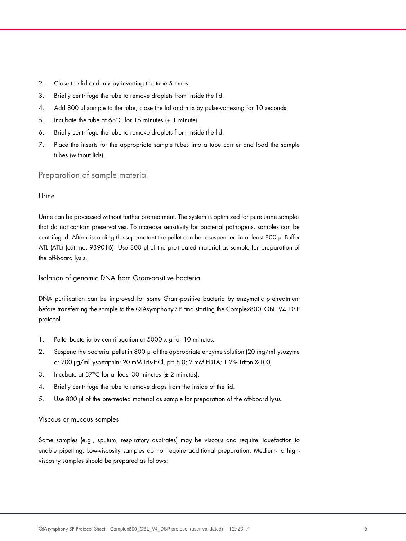- 2. Close the lid and mix by inverting the tube 5 times.
- 3. Briefly centrifuge the tube to remove droplets from inside the lid.
- 4. Add 800 µl sample to the tube, close the lid and mix by pulse-vortexing for 10 seconds.
- 5. Incubate the tube at  $68^{\circ}$ C for 15 minutes ( $\pm$  1 minute).
- 6. Briefly centrifuge the tube to remove droplets from inside the lid.
- 7. Place the inserts for the appropriate sample tubes into a tube carrier and load the sample tubes (without lids).

Preparation of sample material

## Urine

Urine can be processed without further pretreatment. The system is optimized for pure urine samples that do not contain preservatives. To increase sensitivity for bacterial pathogens, samples can be centrifuged. After discarding the supernatant the pellet can be resuspended in at least 800 µl Buffer ATL (ATL) (cat. no. 939016). Use 800 µl of the pre-treated material as sample for preparation of the off-board lysis.

Isolation of genomic DNA from Gram-positive bacteria

DNA purification can be improved for some Gram-positive bacteria by enzymatic pretreatment before transferring the sample to the QIAsymphony SP and starting the Complex800\_OBL\_V4\_DSP protocol.

- 1. Pellet bacteria by centrifugation at  $5000 \times g$  for 10 minutes.
- 2. Suspend the bacterial pellet in 800 µ of the appropriate enzyme solution (20 mg/ml lysozyme or 200 µg/ml lysostaphin; 20 mM Tris·HCl, pH 8.0; 2 mM EDTA; 1.2% Triton X-100).
- 3. Incubate at  $37^{\circ}$ C for at least 30 minutes ( $\pm$  2 minutes).
- 4. Briefly centrifuge the tube to remove drops from the inside of the lid.
- 5. Use 800 µl of the pre-treated material as sample for preparation of the off-board lysis.

#### Viscous or mucous samples

Some samples (e.g., sputum, respiratory aspirates) may be viscous and require liquefaction to enable pipetting. Low-viscosity samples do not require additional preparation. Medium- to highviscosity samples should be prepared as follows: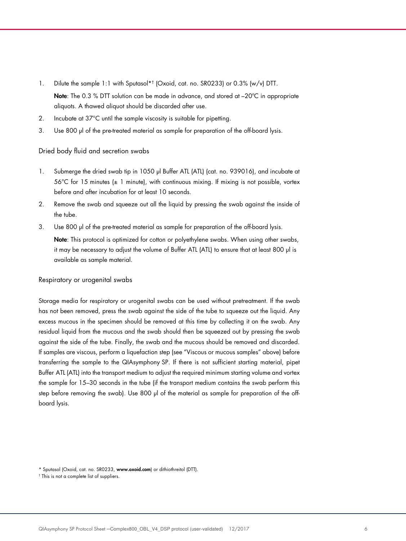- 1. Dilute the sample 1:1 with Sputasol\*† (Oxoid, cat. no. SR0233) or 0.3% (w/v) DTT. Note: The 0.3 % DTT solution can be made in advance, and stored at -20°C in appropriate aliquots. A thawed aliquot should be discarded after use.
- 2. Incubate at 37°C until the sample viscosity is suitable for pipetting.
- 3. Use 800 µl of the pre-treated material as sample for preparation of the off-board lysis.

#### Dried body fluid and secretion swabs

- 1. Submerge the dried swab tip in 1050 µl Buffer ATL (ATL) (cat. no. 939016), and incubate at  $56^{\circ}$ C for 15 minutes ( $\pm$  1 minute), with continuous mixing. If mixing is not possible, vortex before and after incubation for at least 10 seconds.
- 2. Remove the swab and squeeze out all the liquid by pressing the swab against the inside of the tube.
- 3. Use 800 µl of the pre-treated material as sample for preparation of the off-board lysis.

Note: This protocol is optimized for cotton or polyethylene swabs. When using other swabs, it may be necessary to adjust the volume of Buffer ATL (ATL) to ensure that at least 800 µl is available as sample material.

#### Respiratory or urogenital swabs

Storage media for respiratory or urogenital swabs can be used without pretreatment. If the swab has not been removed, press the swab against the side of the tube to squeeze out the liquid. Any excess mucous in the specimen should be removed at this time by collecting it on the swab. Any residual liquid from the mucous and the swab should then be squeezed out by pressing the swab against the side of the tube. Finally, the swab and the mucous should be removed and discarded. If samples are viscous, perform a liquefaction step (see "Viscous or mucous samples" above) before transferring the sample to the QIAsymphony SP. If there is not sufficient starting material, pipet Buffer ATL (ATL) into the transport medium to adjust the required minimum starting volume and vortex the sample for 15–30 seconds in the tube (if the transport medium contains the swab perform this step before removing the swab). Use 800 µ of the material as sample for preparation of the offboard lysis.

<sup>\*</sup> Sputasol (Oxoid, cat. no. SR0233, www.oxoid.com) or dithiothreitol (DTT).

<sup>†</sup> This is not a complete list of suppliers.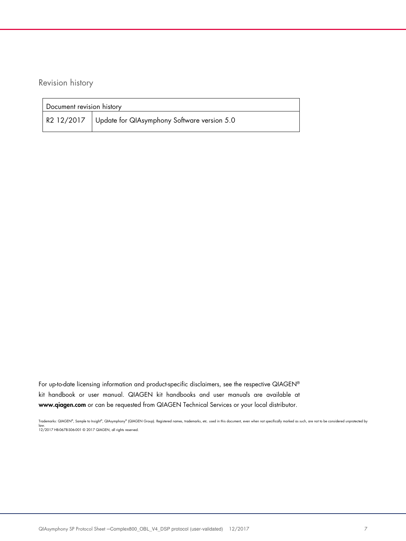Revision history

| Document revision history |                                                        |  |
|---------------------------|--------------------------------------------------------|--|
|                           | R2 12/2017 Update for QIAsymphony Software version 5.0 |  |

For up-to-date licensing information and product-specific disclaimers, see the respective QIAGEN® kit handbook or user manual. QIAGEN kit handbooks and user manuals are available at www.qiagen.com or can be requested from QIAGEN Technical Services or your local distributor.

Trademarks: QIAGEN®, Sample to Insight®, QIAsymphony® (QIAGEN Group). Registered names, trademarks, etc. used in this document, even when not specifically marked as such, are not to be considered unprotected by law. 12/2017 HB-0678-S06-001 © 2017 QIAGEN, all rights reserved.